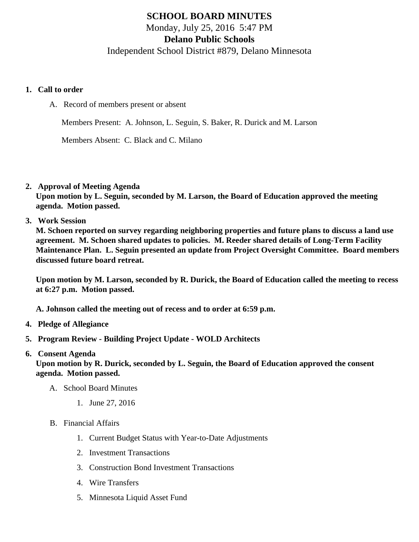## SCHOOL BOARD MINUTES Monday, July 25, 2016 5:47 PM Delano Public Schools Independent School District #879, Delano Minnesota

- 1. Call to order
	- A. Record of members present or absent

Members Present: A. Johnson, L. Seguin, S. Baker, R. Durick and M. Larson

Members Absent: C. Black and C. Milano

2. Approval of Meeting Agenda

Upon motion by L. Seguin, seconded by M. Larson, the Board of Education approved the meeting agenda. Motion passed.

3. Work Session

M. Schoen reported on survey regarding neighboring properties and future plans to discuss a land use agreement. M. Schoen shared updates to policies. M. Reeder shared details of Long-Term Facility Maintenance Plan. L. Seguin presented an update from Project Oversight Committee. Board members discussed future board retreat.

Upon motion by M. Larson, seconded by R. Durick, the Board of Education called the meeting to recess at 6:27 p.m. Motion passed.

A. Johnson called the meeting out of recess and to order at 6:59 p.m.

- 4. Pledge of Allegiance
- 5. Program Review Building Project Update WOLD Architects
- 6. Consent Agenda

Upon motion by R. Durick, seconded by L. Seguin, the Board of Education approved the consent agenda. Motion passed.

- A. School Board Minutes
	- 1. [June 27, 201](/docs/district/District_Forms/School_Board_Minutes_6.27.16.pdf)6
- B. Financial Affairs
	- 1. [Current Budget Status with Year-to-Date Adjustm](/docs/district/Business_Office/Budget_Report_July_2016.pdf)ents
	- 2. [Investment Transactio](/docs/district/Business_Office/June_2016_Investment_Schedule.pdf)ns
	- 3. [Construction Bond Investment Transacti](/docs/district/Business_Office/Bond_Investment_schedule_June_16.pdf)ons
	- 4. [Wire Transfer](/docs/district/Business_Office/June_2016_Wire_Transfer.pdf)s
	- 5. [Minnesota Liquid Asset Fun](/docs/district/Business_Office/June_2016_LAF.pdf)d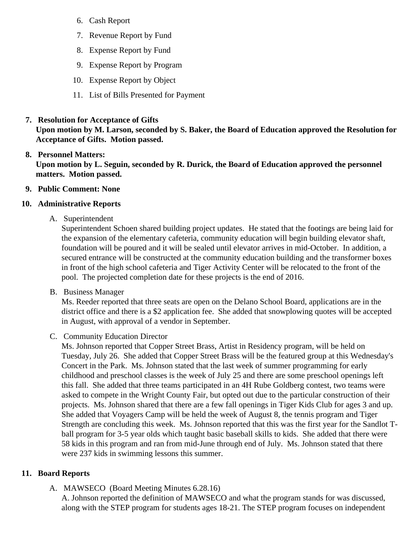- 6. [Cash Repo](/docs/district/Business_Office/June_2016_Cash_Report.pdf)rt
- 7. [Revenue Report by Fu](/docs/district/Business_Office/SCHOOL_BOARD_REPORTS_-_REVENUE_BY_FUND_TOTAL__(Date__6_2017).pdf)nd
- 8. [Expense Report by Fu](/docs/district/Business_Office/SCHOOL_BOARD_REPORTS_-_EXP_BY_FUND_TOTAL__(Date__6_2017).pdf)nd
- 9. [Expense Report by Progra](/docs/district/Business_Office/SCHOOL_BOARD_REPORTS_-_EXPENDITURES_BY_PROGRAM__(Date__6_2017).pdf)m
- 10. [Expense Report by Obje](/docs/district/Business_Office/SCHOOL_BOARD_REPORTS_-_EXPENDITURES_BY_OBJECT__(Date__6_2017).pdf)ct
- 11. [List of Bills Presented for Payme](/docs/district/Business_Office/Monthly_Bills_Paid.pdf)nt
- 7. [Resolution for Acceptance of Gifts](/docs/district/Business_Office/Resolution_for_Acceptance_of_Gifts_7.25.16.pdf)

Upon motion by M. Larson, seconded by S. Baker, the Board of Education approved the Resolution for Acceptance of Gifts. Motion passed.

## 8. [Personnel Matters:](/docs/district/HR/7.25.16_Personnel_Matters.pdf)

Upon motion by L. Seguin, seconded by R. Durick, the Board of Education approved the personnel matters. Motion passed.

- 9. Public Comment: None
- 10. Administrative Reports
	- A. Superintendent

Superintendent Schoen shared building project updates. He stated that the footings are being laid the expansion of the elementary cafeteria, community education will begin building elevator shaft, foundation will be poured and it will be sealed until elevator arrives in mid-October. In addition, a secured entrance will be constructed at the community education building and the transformer boxe in front of the high school cafeteria and Tiger Activity Center will be relocated to the front of the pool. The projected completion date for these projects is the end of 2016.

B. Business Manager

Ms. Reeder reported that three seats are open on the Delano School Board, applications are in the district office and there is a \$2 application fee. She added that snowplowing quotes will be accepte in August, with approval of a vendor in September.

C. Community Education Director

Ms. Johnson reported that Copper Street Brass, Artist in Residency program, will be held on Tuesday, July 26. She added that Copper Street Brass will be the featured group at this Wednesd Concert in the Park. Ms. Johnson stated that the last week of summer programming for early childhood and preschool classes is the week of July 25 and there are some preschool openings left this fall. She added that three teams participated in an 4H Rube Goldberg contest, two teams were asked to compete in the Wright County Fair, but opted out due to the particular construction of their projects. Ms. Johnson shared that there are a few fall openings in Tiger Kids Club for ages 3 and u She added that Voyagers Camp will be held the week of August 8, the tennis program and Tiger Strength are concluding this week. Ms. Johnson reported that this was the first year for the Sandlot ball program for 3-5 year olds which taught basic baseball skills to kids. She added that there were 58 kids in this program and ran from mid-June through end of July. Ms. Johnson stated that there were 237 kids in swimming lessons this summer.

## 11. Board Reports

A. [MAWSECO](/docs/district/District_Forms/6.28.16_WTC_Board_Minutes.pdf) (Board Meeting Minutes 6.28.16)

A. Johnson reported the definition of MAWSECO and what the program stands for was discussed, along with the STEP program for students ages 18-21. The STEP program focuses on independer